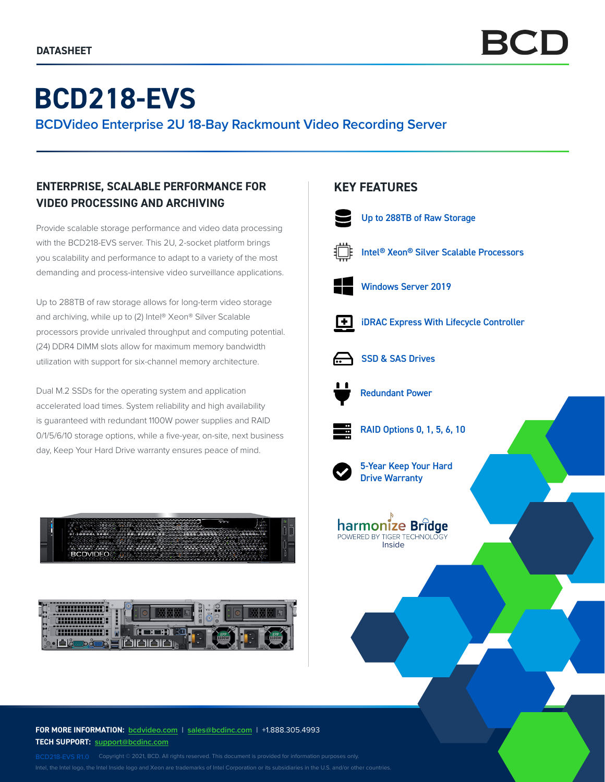# **BCD218-EVS**

**BCDVideo Enterprise 2U 18-Bay Rackmount Video Recording Server**

## **ENTERPRISE, SCALABLE PERFORMANCE FOR VIDEO PROCESSING AND ARCHIVING**

Provide scalable storage performance and video data processing with the BCD218-EVS server. This 2U, 2-socket platform brings you scalability and performance to adapt to a variety of the most demanding and process-intensive video surveillance applications.

Up to 288TB of raw storage allows for long-term video storage and archiving, while up to (2) Intel® Xeon® Silver Scalable processors provide unrivaled throughput and computing potential. (24) DDR4 DIMM slots allow for maximum memory bandwidth utilization with support for six-channel memory architecture.

Dual M.2 SSDs for the operating system and application accelerated load times. System reliability and high availability is guaranteed with redundant 1100W power supplies and RAID 0/1/5/6/10 storage options, while a five-year, on-site, next business day, Keep Your Hard Drive warranty ensures peace of mind.



### **FOR MORE INFORMATION: bcdvideo[.com](http://bcdvideo.com)** | **[sales@bcdinc.com](mailto:sales%40bcdinc.com?subject=)** | +1.888.305.4993 **TECH SUPPORT: [support@bcdinc.com](mailto:support%40bcdinc.com?subject=)**

Intel, the Intel logo, the Intel Inside logo and Xeon are trademarks of Intel Corporation or its subsidiaries in the U.S. and/or other countries.

## **KEY FEATURES**



Intel® Xeon® Silver Scalable Processors



 $\overline{1+}$ 

iDRAC Express With Lifecycle Controller



SSD & SAS Drives



Redundant Power



RAID Options 0, 1, 5, 6, 10



5-Year Keep Your Hard Drive Warranty